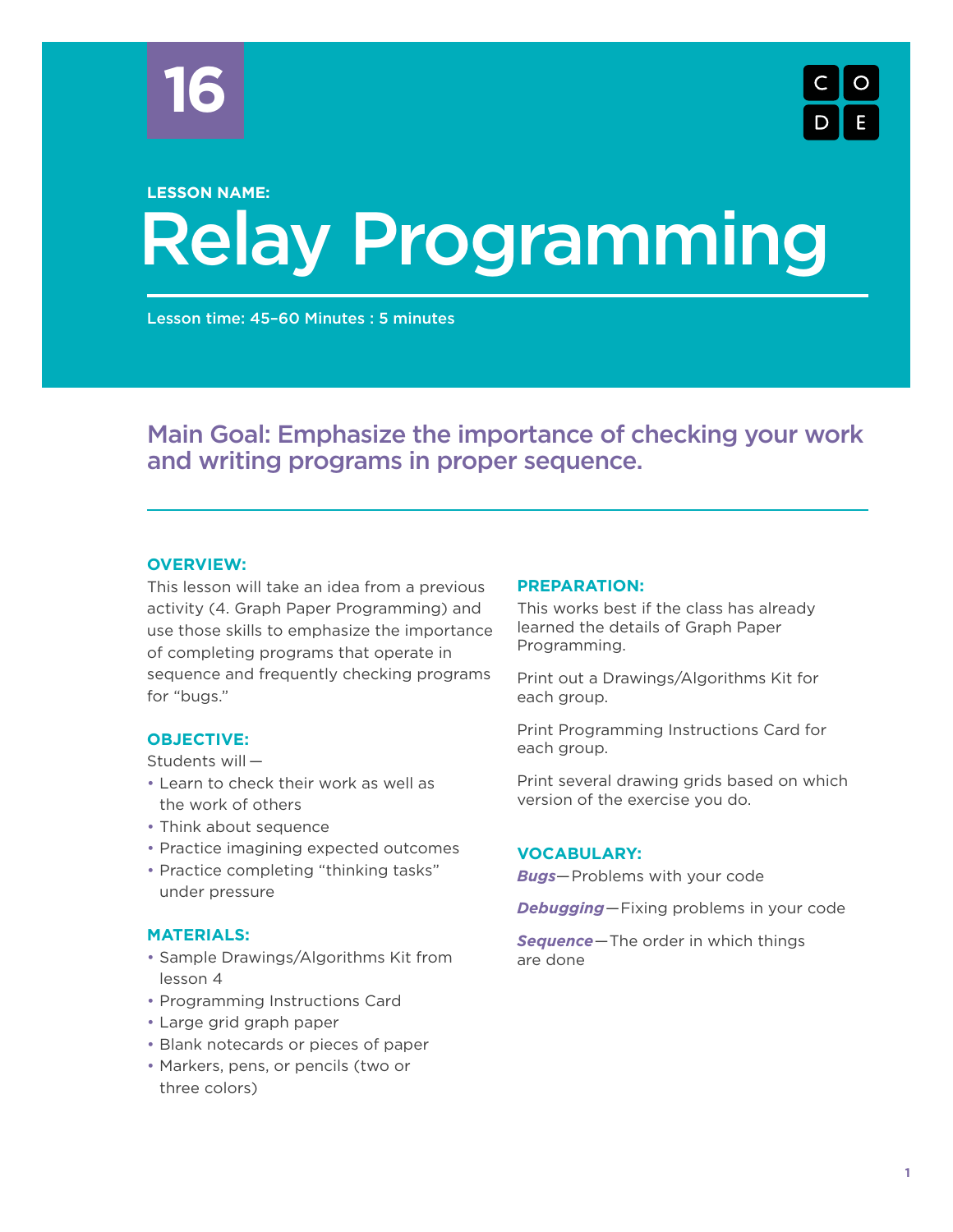



# Relay Programming **LESSON NAME:**

Lesson time: 45–60 Minutes : 5 minutes

# Main Goal: Emphasize the importance of checking your work and writing programs in proper sequence.

# **OVERVIEW:**

This lesson will take an idea from a previous activity (4. Graph Paper Programming) and use those skills to emphasize the importance of completing programs that operate in sequence and frequently checking programs for "bugs."

#### **OBJECTIVE:**

Students will —

- Learn to check their work as well as the work of others
- Think about sequence
- Practice imagining expected outcomes
- Practice completing "thinking tasks" under pressure

# **MATERIALS:**

- Sample Drawings/Algorithms Kit from lesson 4
- Programming Instructions Card
- Large grid graph paper
- Blank notecards or pieces of paper
- Markers, pens, or pencils (two or three colors)

#### **PREPARATION:**

This works best if the class has already learned the details of Graph Paper Programming.

Print out a Drawings/Algorithms Kit for each group.

Print Programming Instructions Card for each group.

Print several drawing grids based on which version of the exercise you do.

#### **VOCABULARY:**

*Bugs*—Problems with your code

*Debugging*—Fixing problems in your code

*Sequence*—The order in which things are done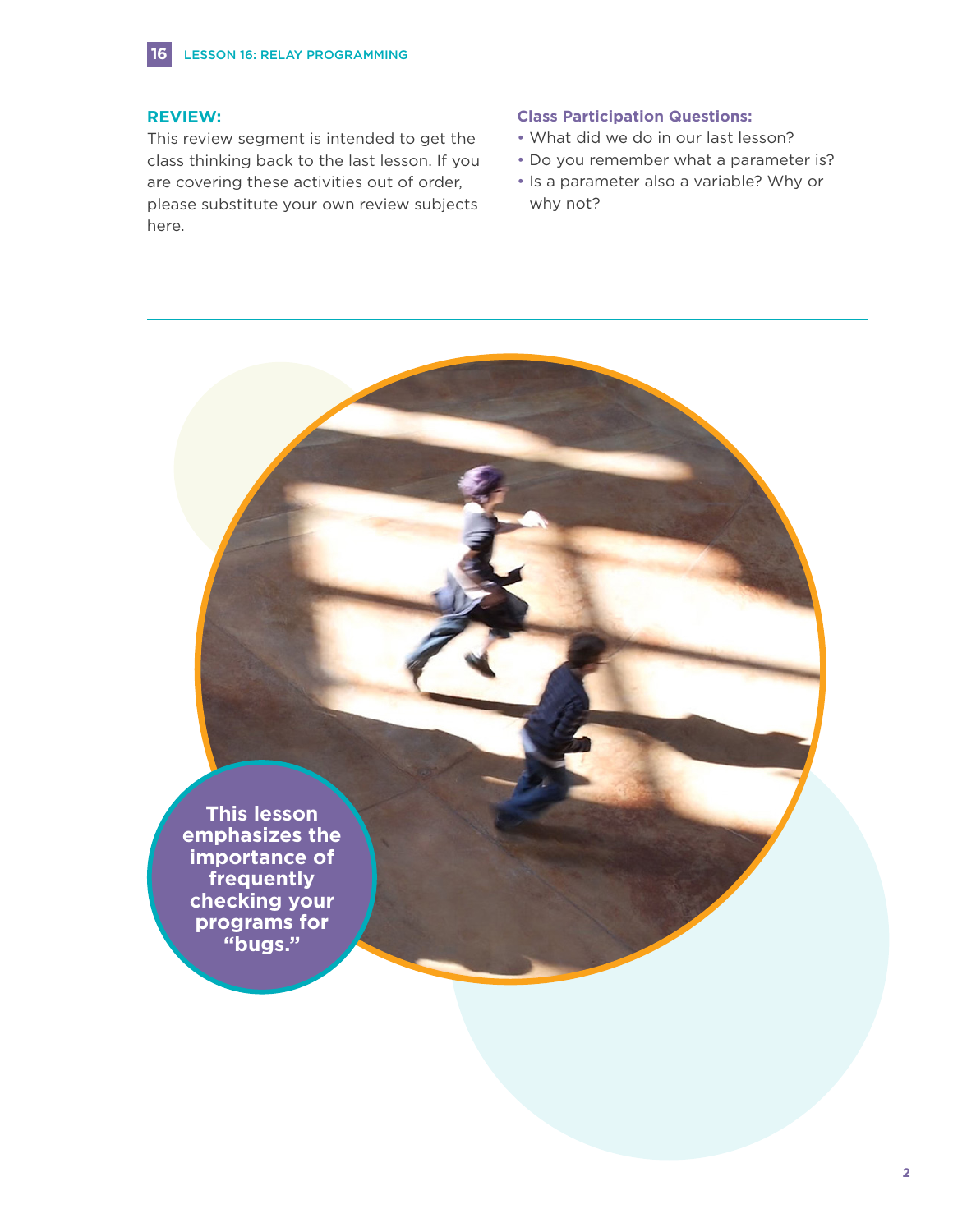#### **REVIEW:**

This review segment is intended to get the class thinking back to the last lesson. If you are covering these activities out of order, please substitute your own review subjects here.

#### **Class Participation Questions:**

- What did we do in our last lesson?
- Do you remember what a parameter is?
- Is a parameter also a variable? Why or why not?

**This lesson emphasizes the importance of frequently checking your programs for "bugs."**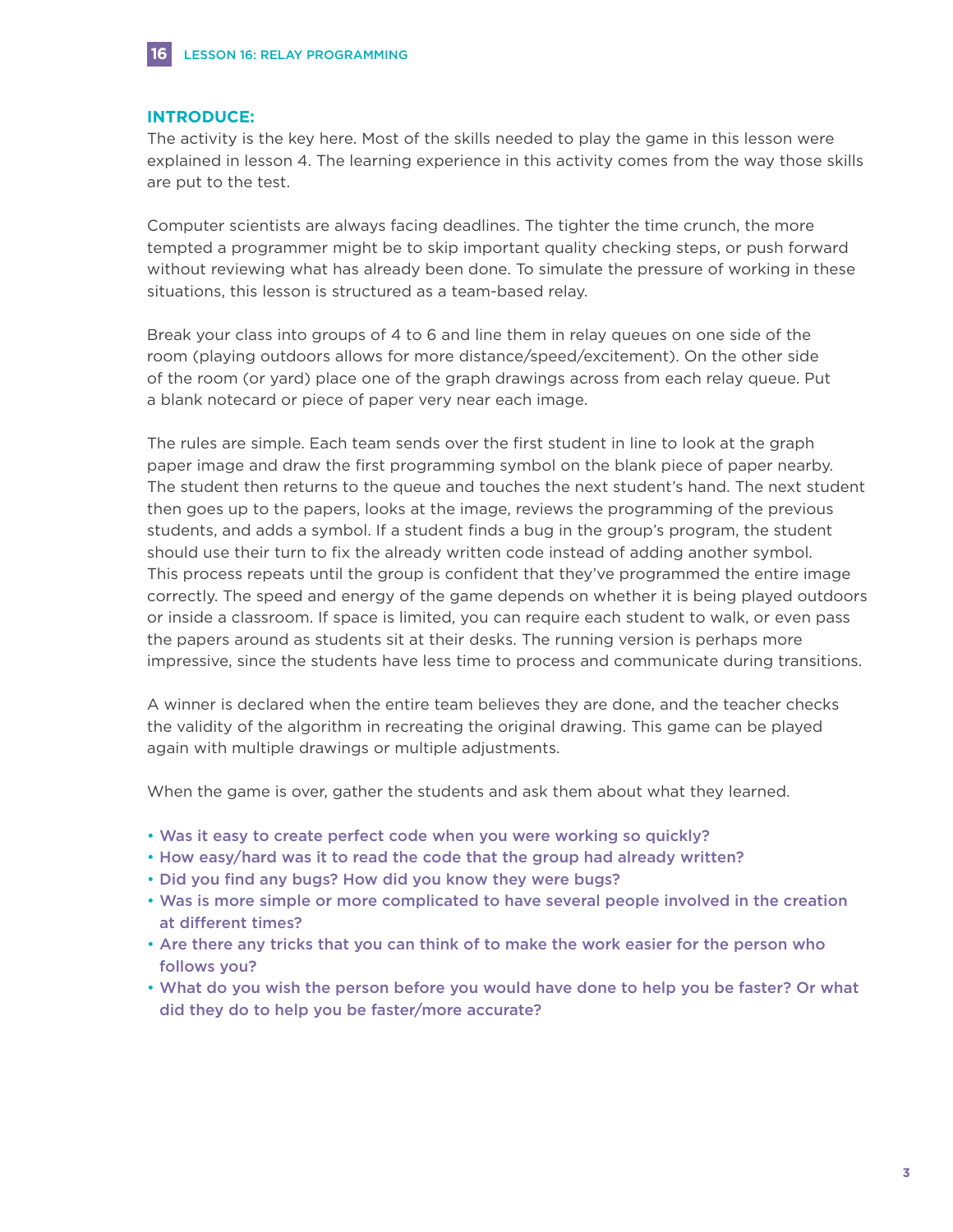#### **INTRODUCE:**

**16**

The activity is the key here. Most of the skills needed to play the game in this lesson were explained in lesson 4. The learning experience in this activity comes from the way those skills are put to the test.

Computer scientists are always facing deadlines. The tighter the time crunch, the more tempted a programmer might be to skip important quality checking steps, or push forward without reviewing what has already been done. To simulate the pressure of working in these situations, this lesson is structured as a team-based relay.

Break your class into groups of 4 to 6 and line them in relay queues on one side of the room (playing outdoors allows for more distance/speed/excitement). On the other side of the room (or yard) place one of the graph drawings across from each relay queue. Put a blank notecard or piece of paper very near each image.

The rules are simple. Each team sends over the first student in line to look at the graph paper image and draw the first programming symbol on the blank piece of paper nearby. The student then returns to the queue and touches the next student's hand. The next student then goes up to the papers, looks at the image, reviews the programming of the previous students, and adds a symbol. If a student finds a bug in the group's program, the student should use their turn to fix the already written code instead of adding another symbol. This process repeats until the group is confident that they've programmed the entire image correctly. The speed and energy of the game depends on whether it is being played outdoors or inside a classroom. If space is limited, you can require each student to walk, or even pass the papers around as students sit at their desks. The running version is perhaps more impressive, since the students have less time to process and communicate during transitions.

A winner is declared when the entire team believes they are done, and the teacher checks the validity of the algorithm in recreating the original drawing. This game can be played again with multiple drawings or multiple adjustments.

When the game is over, gather the students and ask them about what they learned.

- Was it easy to create perfect code when you were working so quickly?
- How easy/hard was it to read the code that the group had already written?
- Did you find any bugs? How did you know they were bugs?
- Was is more simple or more complicated to have several people involved in the creation at different times?
- Are there any tricks that you can think of to make the work easier for the person who follows you?
- What do you wish the person before you would have done to help you be faster? Or what did they do to help you be faster/more accurate?